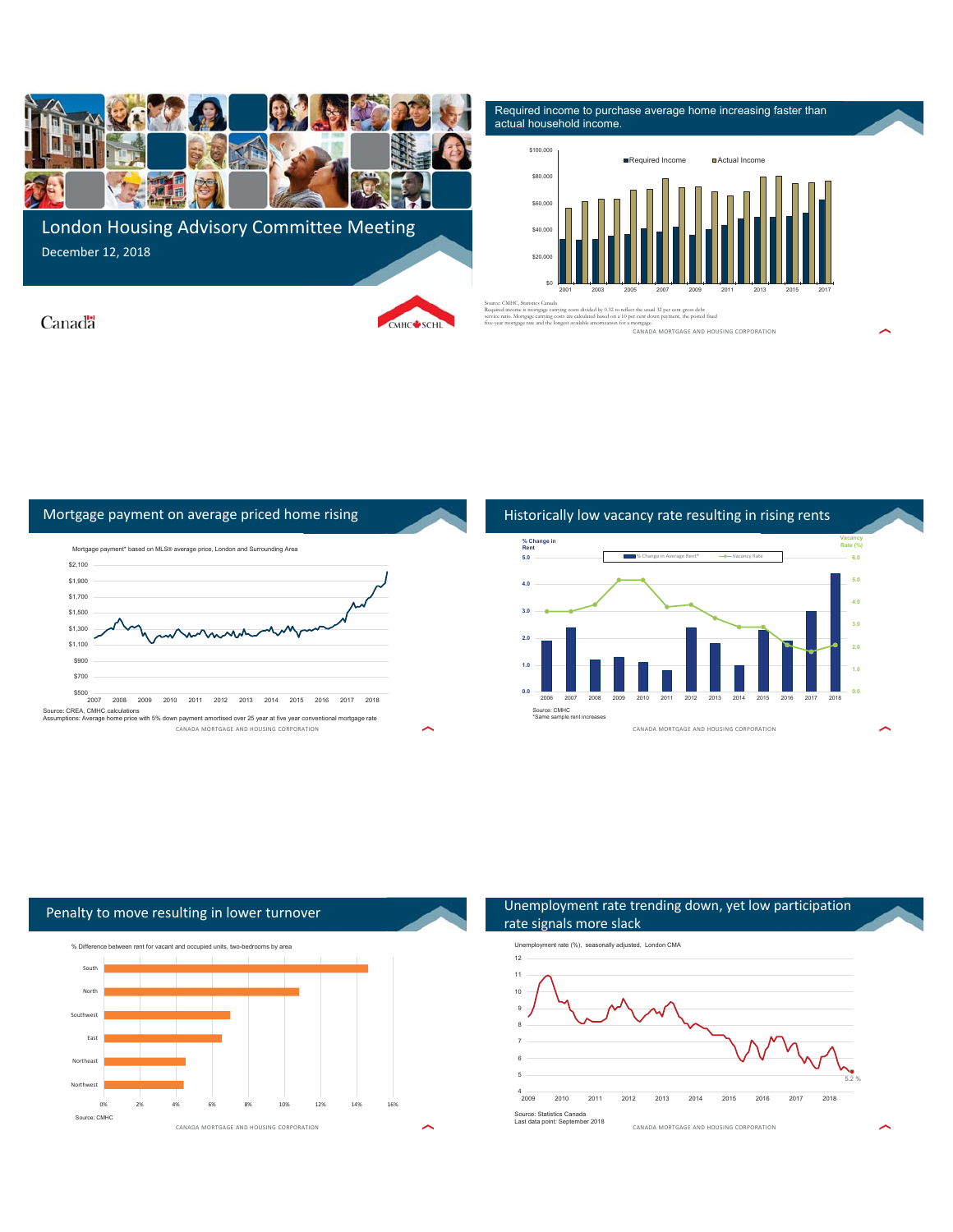

London Housing Advisory Committee Meeting December 12, 2018

Required income to purchase average home increasing faster than actual household income.





Canada





mortgage.<br>CANADA MORTGAGE AND HOUSING CORPORATION Required income is mortgage carrying costs divided by 0.32 to reflect the usual 32 per cent gross debt service ratio. Mortgage carrying costs are calculated based on a 10 per cent down payment, the posted fixed five-year mortgage rate and the longest available amortization for a mortgage.





#### Unemployment rate trending down, yet low participation rate signals more slack Unemployment rate (%), seasonally adjusted, London CMA 6 7 8 9 10 11 12

CANADA MORTGAGE AND HOUSING CORPORATION

5

5.2 %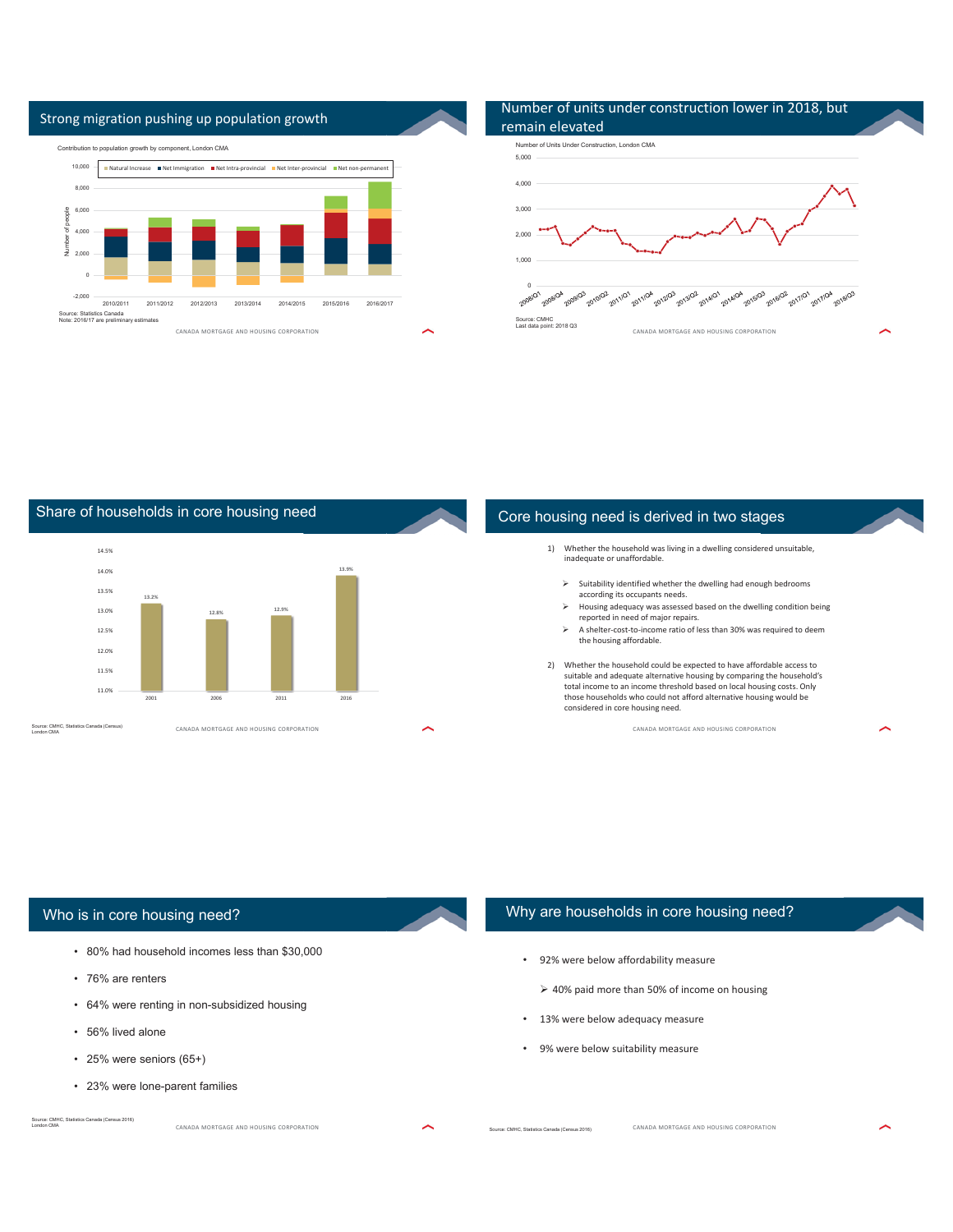

# Number of units under construction lower in 2018, but







## Who is in core housing need?

- 80% had household incomes less than \$30,000
- 76% are renters
- 64% were renting in non-subsidized housing
- 56% lived alone

London CMA

- 25% were seniors (65+)
- 23% were lone-parent families

## Why are households in core housing need?

- 92% were below affordability measure
	- $\geq 40\%$  paid more than 50% of income on housing
- 13% were below adequacy measure
- 9% were below suitability measure

Source: CMHC, Statistics Canada (Census 2016)

CANADA MORTGAGE AND HOUSING CORPORATION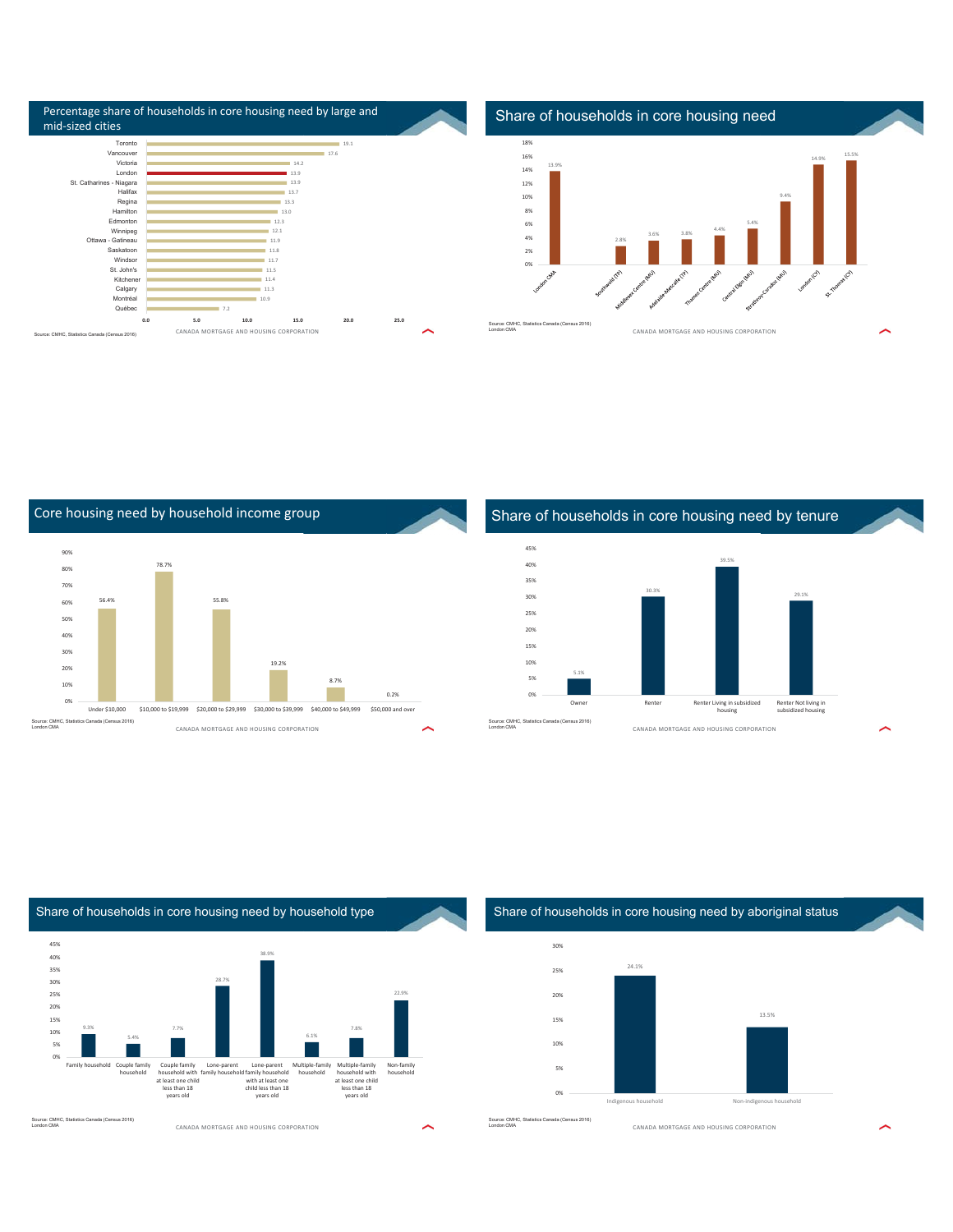| Percentage share of households in core housing need by large and<br>mid-sized cities                                                                                                                                                     |     |                                                                                                                     |              |           |                                                                        | Share of households in core housing need                                                                      |   |
|------------------------------------------------------------------------------------------------------------------------------------------------------------------------------------------------------------------------------------------|-----|---------------------------------------------------------------------------------------------------------------------|--------------|-----------|------------------------------------------------------------------------|---------------------------------------------------------------------------------------------------------------|---|
| Toronto<br>Vancouver<br>Victoria<br>London<br>St. Catharines - Niagara<br>Halifax<br>Regina<br>Hamilton<br>Edmonton<br>Winnipeg<br>Ottawa - Gatineau<br>Saskatoon<br>Windsor<br>St. John's<br>Kitchener<br>Calgary<br>Montréal<br>Québec | 7.2 | 14.2<br>139<br>13.9<br>13.7<br>13.3<br>13.0<br>12.3<br>12.1<br>11.9<br>11.8<br>11.7<br>11.5<br>11.4<br>11.3<br>10.9 | 19.1<br>17.6 |           | 18%<br>16%<br>13.9%<br>14%<br>12%<br>10%<br>8%<br>6%<br>4%<br>2%<br>0% | 15.5%<br>14.9%<br>9.4%<br>5.4%<br>4.4%<br>3.8%<br>3.6%<br>2.8%<br>Reg.<br><b>Congress</b><br><b>CAD</b><br>≪े |   |
| 0.0<br>Source: CMHC. Statistics Canada (Census 2016)                                                                                                                                                                                     | 5.0 | 15.0<br>10.0<br>CANADA MORTGAGE AND HOUSING CORPORATION                                                             | 20.0         | 25.0<br>∼ | Source: CMHC, Statistics Canada (Census 2016)<br>London CMA            | CANADA MORTGAGE AND HOUSING CORPORATION                                                                       | ⌒ |

CANADA MORTGAGE AND HOUSING CORPORATION Core housing need by household income group 56.4% 78.7% 55.8% 19.2% 8.7% 0.2% 0% 10% 20% 30% 40% 50% 60% 70% 80% 90% Under \$10,000 \$10,000 to \$19,999 \$20,000 to \$29,999 \$30,000 to \$39,999 \$40,000 to \$49,999 \$50,000 and ove ce: CMHC, Statistics Canada (Census 2016)